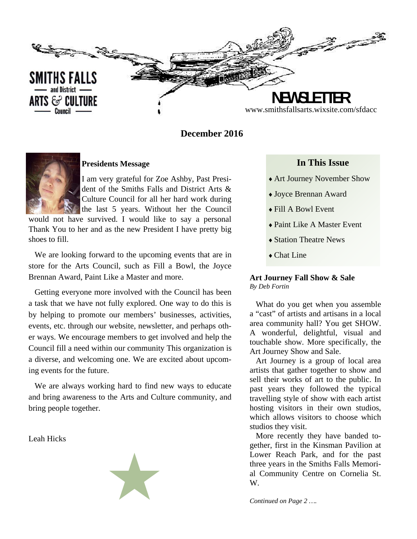

## **December 2016**



### **Presidents Message**

I am very grateful for Zoe Ashby, Past President of the Smiths Falls and District Arts & Culture Council for all her hard work during the last 5 years. Without her the Council

would not have survived. I would like to say a personal Thank You to her and as the new President I have pretty big shoes to fill.

We are looking forward to the upcoming events that are in store for the Arts Council, such as Fill a Bowl, the Joyce Brennan Award, Paint Like a Master and more.

Getting everyone more involved with the Council has been a task that we have not fully explored. One way to do this is by helping to promote our members' businesses, activities, events, etc. through our website, newsletter, and perhaps other ways. We encourage members to get involved and help the Council fill a need within our community This organization is a diverse, and welcoming one. We are excited about upcoming events for the future.

We are always working hard to find new ways to educate and bring awareness to the Arts and Culture community, and bring people together.

Leah Hicks



### **In This Issue**

- Art Journey November Show
- Joyce Brennan Award
- Fill A Bowl Event
- ◆ Paint Like A Master Event
- Station Theatre News
- ◆ Chat Line

#### **Art Journey Fall Show & Sale**  *By Deb Fortin*

What do you get when you assemble a "cast" of artists and artisans in a local area community hall? You get SHOW. A wonderful, delightful, visual and touchable show. More specifically, the Art Journey Show and Sale.

Art Journey is a group of local area artists that gather together to show and sell their works of art to the public. In past years they followed the typical travelling style of show with each artist hosting visitors in their own studios, which allows visitors to choose which studios they visit.

More recently they have banded together, first in the Kinsman Pavilion at Lower Reach Park, and for the past three years in the Smiths Falls Memorial Community Centre on Cornelia St. W.

*Continued on Page 2 ….*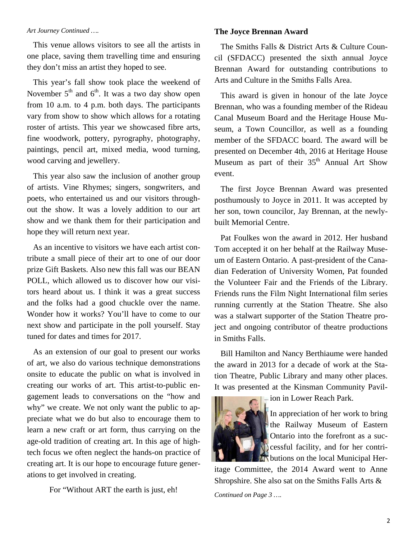#### *Art Journey Continued ….*

This venue allows visitors to see all the artists in one place, saving them travelling time and ensuring they don't miss an artist they hoped to see.

This year's fall show took place the weekend of November  $5<sup>th</sup>$  and  $6<sup>th</sup>$ . It was a two day show open from 10 a.m. to 4 p.m. both days. The participants vary from show to show which allows for a rotating roster of artists. This year we showcased fibre arts, fine woodwork, pottery, pyrography, photography, paintings, pencil art, mixed media, wood turning, wood carving and jewellery.

This year also saw the inclusion of another group of artists. Vine Rhymes; singers, songwriters, and poets, who entertained us and our visitors throughout the show. It was a lovely addition to our art show and we thank them for their participation and hope they will return next year.

As an incentive to visitors we have each artist contribute a small piece of their art to one of our door prize Gift Baskets. Also new this fall was our BEAN POLL, which allowed us to discover how our visitors heard about us. I think it was a great success and the folks had a good chuckle over the name. Wonder how it works? You'll have to come to our next show and participate in the poll yourself. Stay tuned for dates and times for 2017.

As an extension of our goal to present our works of art, we also do various technique demonstrations onsite to educate the public on what is involved in creating our works of art. This artist-to-public engagement leads to conversations on the "how and why" we create. We not only want the public to appreciate what we do but also to encourage them to learn a new craft or art form, thus carrying on the age-old tradition of creating art. In this age of hightech focus we often neglect the hands-on practice of creating art. It is our hope to encourage future generations to get involved in creating.

For "Without ART the earth is just, eh!

### **The Joyce Brennan Award**

The Smiths Falls & District Arts & Culture Council (SFDACC) presented the sixth annual Joyce Brennan Award for outstanding contributions to Arts and Culture in the Smiths Falls Area.

This award is given in honour of the late Joyce Brennan, who was a founding member of the Rideau Canal Museum Board and the Heritage House Museum, a Town Councillor, as well as a founding member of the SFDACC board. The award will be presented on December 4th, 2016 at Heritage House Museum as part of their  $35<sup>th</sup>$  Annual Art Show event.

The first Joyce Brennan Award was presented posthumously to Joyce in 2011. It was accepted by her son, town councilor, Jay Brennan, at the newlybuilt Memorial Centre.

Pat Foulkes won the award in 2012. Her husband Tom accepted it on her behalf at the Railway Museum of Eastern Ontario. A past-president of the Canadian Federation of University Women, Pat founded the Volunteer Fair and the Friends of the Library. Friends runs the Film Night International film series running currently at the Station Theatre. She also was a stalwart supporter of the Station Theatre project and ongoing contributor of theatre productions in Smiths Falls.

Bill Hamilton and Nancy Berthiaume were handed the award in 2013 for a decade of work at the Station Theatre, Public Library and many other places. It was presented at the Kinsman Community Pavil-



ion in Lower Reach Park.

In appreciation of her work to bring the Railway Museum of Eastern **D** Ontario into the forefront as a successful facility, and for her contri-**T** butions on the local Municipal Her-

itage Committee, the 2014 Award went to Anne Shropshire. She also sat on the Smiths Falls Arts &

*Continued on Page 3 ….*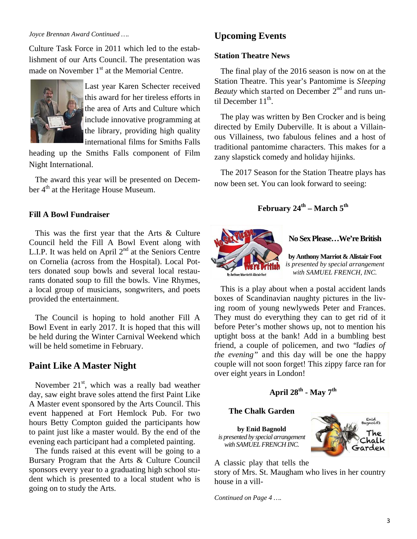#### *Joyce Brennan Award Continued ….*

Culture Task Force in 2011 which led to the establishment of our Arts Council. The presentation was made on November  $1<sup>st</sup>$  at the Memorial Centre.



Last year Karen Schecter received this award for her tireless efforts in the area of Arts and Culture which include innovative programming at the library, providing high quality international films for Smiths Falls

heading up the Smiths Falls component of Film Night International.

The award this year will be presented on December 4<sup>th</sup> at the Heritage House Museum.

### **Fill A Bowl Fundraiser**

This was the first year that the Arts & Culture Council held the Fill A Bowl Event along with L.I.P. It was held on April  $2<sup>nd</sup>$  at the Seniors Centre on Cornelia (across from the Hospital). Local Potters donated soup bowls and several local restaurants donated soup to fill the bowls. Vine Rhymes, a local group of musicians, songwriters, and poets provided the entertainment.

The Council is hoping to hold another Fill A Bowl Event in early 2017. It is hoped that this will be held during the Winter Carnival Weekend which will be held sometime in February.

## **Paint Like A Master Night**

November  $21<sup>st</sup>$ , which was a really bad weather day, saw eight brave soles attend the first Paint Like A Master event sponsored by the Arts Council. This event happened at Fort Hemlock Pub. For two hours Betty Compton guided the participants how to paint just like a master would. By the end of the evening each participant had a completed painting.

The funds raised at this event will be going to a Bursary Program that the Arts & Culture Council sponsors every year to a graduating high school student which is presented to a local student who is going on to study the Arts.

# **Upcoming Events**

### **Station Theatre News**

The final play of the 2016 season is now on at the Station Theatre. This year's Pantomime is *Sleeping Beauty* which started on December 2<sup>nd</sup> and runs until December 11<sup>th</sup>.

The play was written by Ben Crocker and is being directed by Emily Duberville. It is about a Villainous Villainess, two fabulous felines and a host of traditional pantomime characters. This makes for a zany slapstick comedy and holiday hijinks.

The 2017 Season for the Station Theatre plays has now been set. You can look forward to seeing:

# February 24<sup>th</sup> – March 5<sup>th</sup>



**No Sex Please…We're British** 

**by Anthony Marriot & Alistair Foot**  *is presented by special arrangement with SAMUEL FRENCH, INC.* 

This is a play about when a postal accident lands boxes of Scandinavian naughty pictures in the living room of young newlyweds Peter and Frances. They must do everything they can to get rid of it before Peter's mother shows up, not to mention his uptight boss at the bank! Add in a bumbling best friend, a couple of policemen, and two *"ladies of the evening"* and this day will be one the happy couple will not soon forget! This zippy farce ran for over eight years in London!

# **April 28th - May 7th**

#### **The Chalk Garden**

**by Enid Bagnold**  *is presented by special arrangement with SAMUEL FRENCH INC.* 



A classic play that tells the

story of Mrs. St. Maugham who lives in her country house in a vill-

*Continued on Page 4 ….*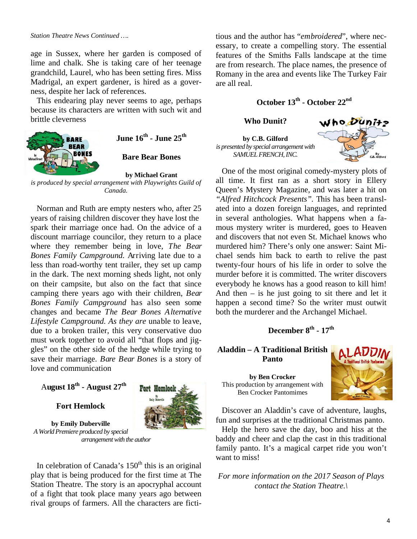#### *Station Theatre News Continued ….*

age in Sussex, where her garden is composed of lime and chalk. She is taking care of her teenage grandchild, Laurel, who has been setting fires. Miss Madrigal, an expert gardener, is hired as a governess, despite her lack of references.

This endearing play never seems to age, perhaps because its characters are written with such wit and brittle cleverness



**June 16th - June 25th**

**Bare Bear Bones** 

#### **by Michael Grant**

*is produced by special arrangement with Playwrights Guild of Canada.* 

Norman and Ruth are empty nesters who, after 25 years of raising children discover they have lost the spark their marriage once had. On the advice of a discount marriage councilor, they return to a place where they remember being in love, *The Bear Bones Family Campground.* Arriving late due to a less than road-worthy tent trailer, they set up camp in the dark. The next morning sheds light, not only on their campsite, but also on the fact that since camping there years ago with their children, *Bear Bones Family Campground* has also seen some changes and became *The Bear Bones Alternative Lifestyle Campground. As they are* unable to leave, due to a broken trailer, this very conservative duo must work together to avoid all "that flops and jiggles" on the other side of the hedge while trying to save their marriage. *Bare Bear Bones* is a story of love and communication

# A**ugust 18th - August 27th**

### **Fort Hemlock**



**by Emily Duberville**  *A World Premiere produced by special arrangement with the author* 

In celebration of Canada's  $150<sup>th</sup>$  this is an original play that is being produced for the first time at The Station Theatre. The story is an apocryphal account of a fight that took place many years ago between rival groups of farmers. All the characters are fictitious and the author has "*embroidered*", where necessary, to create a compelling story. The essential features of the Smiths Falls landscape at the time are from research. The place names, the presence of Romany in the area and events like The Turkey Fair are all real.

# **October 13th - October 22nd**

**Who Dunit?** 

**by C.B. Gilford**  *is presented by special arrangement with SAMUEL FRENCH, INC.* 



One of the most original comedy-mystery plots of all time. It first ran as a short story in Ellery Queen's Mystery Magazine, and was later a hit on *"Alfred Hitchcock Presents".* This has been translated into a dozen foreign languages, and reprinted in several anthologies. What happens when a famous mystery writer is murdered, goes to Heaven and discovers that not even St. Michael knows who murdered him? There's only one answer: Saint Michael sends him back to earth to relive the past twenty-four hours of his life in order to solve the murder before it is committed. The writer discovers everybody he knows has a good reason to kill him! And then  $-$  is he just going to sit there and let it happen a second time? So the writer must outwit both the murderer and the Archangel Michael.

# **December 8th - 17th**

### **Aladdin – A Traditional British Panto**

**by Ben Crocker**  This production by arrangement with Ben Crocker Pantomimes



Discover an Aladdin's cave of adventure, laughs, fun and surprises at the traditional Christmas panto.

Help the hero save the day, boo and hiss at the baddy and cheer and clap the cast in this traditional family panto. It's a magical carpet ride you won't want to miss!

*For more information on the 2017 Season of Plays contact the Station Theatre.\*